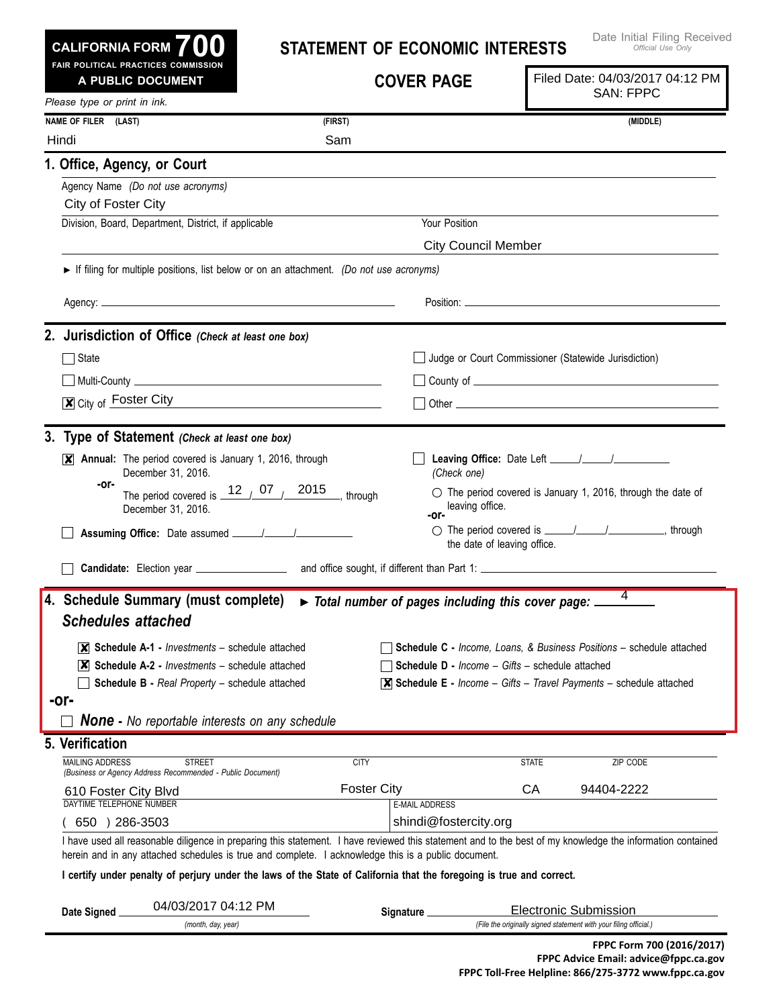| <b>CALIFORNIA FORM</b><br>FAIR POLITICAL PRACTICES COMMISSION                                                                                                                                                                        |             | <b>STATEMENT OF ECONOMIC INTERESTS</b>                 |                             | Date Initial Filing Received<br>Official Use Only                                         |
|--------------------------------------------------------------------------------------------------------------------------------------------------------------------------------------------------------------------------------------|-------------|--------------------------------------------------------|-----------------------------|-------------------------------------------------------------------------------------------|
| A PUBLIC DOCUMENT                                                                                                                                                                                                                    |             | <b>COVER PAGE</b>                                      |                             | Filed Date: 04/03/2017 04:12 PM<br><b>SAN: FPPC</b>                                       |
| Please type or print in ink.<br>NAME OF FILER (LAST)                                                                                                                                                                                 | (FIRST)     |                                                        |                             | (MIDDLE)                                                                                  |
| Hindi                                                                                                                                                                                                                                | Sam         |                                                        |                             |                                                                                           |
| 1. Office, Agency, or Court                                                                                                                                                                                                          |             |                                                        |                             |                                                                                           |
| Agency Name (Do not use acronyms)<br>City of Foster City                                                                                                                                                                             |             |                                                        |                             |                                                                                           |
| Division, Board, Department, District, if applicable                                                                                                                                                                                 |             | Your Position                                          | <b>City Council Member</b>  |                                                                                           |
| If filing for multiple positions, list below or on an attachment. (Do not use acronyms)                                                                                                                                              |             |                                                        |                             |                                                                                           |
|                                                                                                                                                                                                                                      |             |                                                        |                             |                                                                                           |
| 2. Jurisdiction of Office (Check at least one box)                                                                                                                                                                                   |             |                                                        |                             |                                                                                           |
| $\Box$ State                                                                                                                                                                                                                         |             |                                                        |                             | Judge or Court Commissioner (Statewide Jurisdiction)                                      |
|                                                                                                                                                                                                                                      |             |                                                        |                             |                                                                                           |
| $\boxed{\mathbf{x}}$ City of Foster City                                                                                                                                                                                             |             |                                                        |                             |                                                                                           |
| 3. Type of Statement (Check at least one box)<br>$\mathbf{X}$ Annual: The period covered is January 1, 2016, through<br>December 31, 2016.<br>-or-<br>The period covered is $\frac{12}{12}$ 07 / 2015, through<br>December 31, 2016. |             | (Check one)<br>leaving office.<br>-or-                 | the date of leaving office. | $\circ$ The period covered is January 1, 2016, through the date of                        |
| 4. Schedule Summary (must complete) > Total number of pages including this cover page: _<br><b>Schedules attached</b>                                                                                                                |             |                                                        |                             | 4                                                                                         |
| $\overline{\mathsf{x}}$ Schedule A-1 - <i>Investments</i> – schedule attached                                                                                                                                                        |             |                                                        |                             | Schedule C - Income, Loans, & Business Positions - schedule attached                      |
| $ \mathsf{X} $ Schedule A-2 - <i>Investments</i> – schedule attached                                                                                                                                                                 |             | <b>Schedule D - Income - Gifts - schedule attached</b> |                             |                                                                                           |
| Schedule B - Real Property - schedule attached                                                                                                                                                                                       |             |                                                        |                             | $\overline{\mathsf{X}}$ Schedule E - Income - Gifts - Travel Payments - schedule attached |
| -or-<br><b>None</b> - No reportable interests on any schedule                                                                                                                                                                        |             |                                                        |                             |                                                                                           |
| 5. Verification                                                                                                                                                                                                                      |             |                                                        |                             |                                                                                           |
| <b>MAILING ADDRESS</b><br><b>STREET</b><br>(Business or Agency Address Recommended - Public Document)                                                                                                                                | <b>CITY</b> |                                                        | <b>STATE</b>                | ZIP CODE                                                                                  |
| 610 Foster City Blvd                                                                                                                                                                                                                 |             | <b>Foster City</b>                                     | CA                          | 94404-2222                                                                                |
| DAYTIME TELEPHONE NUMBER<br>650 ) 286-3503                                                                                                                                                                                           |             | <b>E-MAIL ADDRESS</b><br>shindi@fostercity.org         |                             |                                                                                           |
|                                                                                                                                                                                                                                      |             |                                                        |                             |                                                                                           |

## I certify under penalty of perjury under the laws of the State of California that the foregoing is true and correct.

| Date Signed | 04/03/2017 04:12 PM | Sianature | Electronic Submission                                             |  |
|-------------|---------------------|-----------|-------------------------------------------------------------------|--|
|             | (month, day, year)  |           | (File the originally signed statement with your filing official.) |  |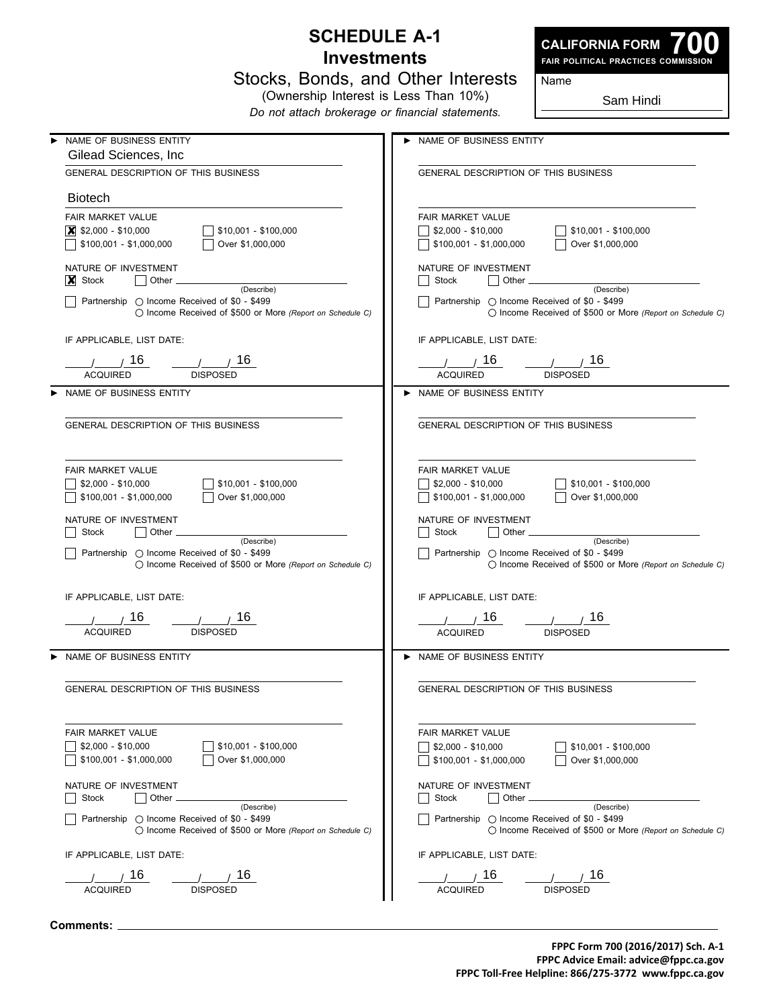## **Schedule A-1 Investments**

Stocks, Bonds, and Other Interests



**700 Fair Political Practices Commission**

Name

(Ownership Interest is Less Than 10%) *Do not attach brokerage or financial statements.*

Sam Hindi

| NAME OF BUSINESS ENTITY                                            | NAME OF BUSINESS ENTITY                                    |
|--------------------------------------------------------------------|------------------------------------------------------------|
| Gilead Sciences, Inc.                                              |                                                            |
| GENERAL DESCRIPTION OF THIS BUSINESS                               | GENERAL DESCRIPTION OF THIS BUSINESS                       |
| <b>Biotech</b>                                                     |                                                            |
| FAIR MARKET VALUE                                                  | <b>FAIR MARKET VALUE</b>                                   |
| $ \mathsf{X} $ \$2,000 - \$10,000<br>\$10,001 - \$100,000          | \$2,000 - \$10,000<br>\$10,001 - \$100,000                 |
|                                                                    |                                                            |
| \$100,001 - \$1,000,000<br>Over \$1,000,000                        | \$100,001 - \$1,000,000<br>Over \$1,000,000                |
| NATURE OF INVESTMENT                                               | NATURE OF INVESTMENT                                       |
| $ X $ Stock<br>Other <sub>-</sub><br>(Describe)                    | Stock<br>Other <sub>-</sub><br>(Describe)                  |
| Partnership ◯ Income Received of \$0 - \$499                       | Partnership ◯ Income Received of \$0 - \$499               |
| $\bigcirc$ Income Received of \$500 or More (Report on Schedule C) | ◯ Income Received of \$500 or More (Report on Schedule C)  |
| IF APPLICABLE, LIST DATE:                                          | IF APPLICABLE, LIST DATE:                                  |
| 16<br>16.                                                          | 16<br>16                                                   |
| <b>ACQUIRED</b><br><b>DISPOSED</b>                                 | <b>ACQUIRED</b><br><b>DISPOSED</b>                         |
|                                                                    |                                                            |
| NAME OF BUSINESS ENTITY                                            | NAME OF BUSINESS ENTITY                                    |
|                                                                    |                                                            |
| <b>GENERAL DESCRIPTION OF THIS BUSINESS</b>                        | <b>GENERAL DESCRIPTION OF THIS BUSINESS</b>                |
|                                                                    |                                                            |
| FAIR MARKET VALUE                                                  | FAIR MARKET VALUE                                          |
|                                                                    |                                                            |
| $$2,000 - $10,000$<br>$$10,001 - $100,000$                         | $$2,000 - $10,000$<br>$$10,001 - $100,000$                 |
| Over \$1,000,000<br>$$100,001 - $1,000,000$                        | Over \$1,000,000<br>\$100,001 - \$1,000,000                |
| NATURE OF INVESTMENT                                               | NATURE OF INVESTMENT                                       |
| Other.<br>Stock                                                    | Other<br>Stock                                             |
| (Describe)<br>Partnership ◯ Income Received of \$0 - \$499         | (Describe)<br>Partnership ◯ Income Received of \$0 - \$499 |
| $\bigcirc$ Income Received of \$500 or More (Report on Schedule C) | ◯ Income Received of \$500 or More (Report on Schedule C)  |
|                                                                    |                                                            |
| IF APPLICABLE, LIST DATE:                                          | IF APPLICABLE, LIST DATE:                                  |
| 16                                                                 | 16<br>16                                                   |
| <b>ACQUIRED</b><br><b>DISPOSED</b>                                 | <b>ACQUIRED</b><br><b>DISPOSED</b>                         |
|                                                                    |                                                            |
| NAME OF BUSINESS ENTITY                                            | > NAME OF BUSINESS ENTITY                                  |
| GENERAL DESCRIPTION OF THIS BUSINESS                               | <b>GENERAL DESCRIPTION OF THIS BUSINESS</b>                |
|                                                                    |                                                            |
|                                                                    |                                                            |
| FAIR MARKET VALUE                                                  | FAIR MARKET VALUE                                          |
| $$2,000 - $10,000$<br>$$10,001 - $100,000$                         | $$2,000 - $10,000$<br>$$10,001 - $100,000$                 |
| $$100,001 - $1,000,000$<br>Over \$1,000,000                        | $$100,001 - $1,000,000$<br>Over \$1,000,000                |
|                                                                    |                                                            |
| NATURE OF INVESTMENT<br>Other.<br>Stock                            | NATURE OF INVESTMENT<br>Other<br>Stock<br>$\blacksquare$   |
| (Describe)                                                         | (Describe)                                                 |
| Partnership $\bigcirc$ Income Received of \$0 - \$499              | Partnership $\bigcirc$ Income Received of \$0 - \$499      |
| ◯ Income Received of \$500 or More (Report on Schedule C)          | ◯ Income Received of \$500 or More (Report on Schedule C)  |
| IF APPLICABLE, LIST DATE:                                          | IF APPLICABLE, LIST DATE:                                  |
| 16                                                                 | 7 16<br>16                                                 |
| <b>ACQUIRED</b><br><b>DISPOSED</b>                                 | <b>ACQUIRED</b><br><b>DISPOSED</b>                         |
|                                                                    |                                                            |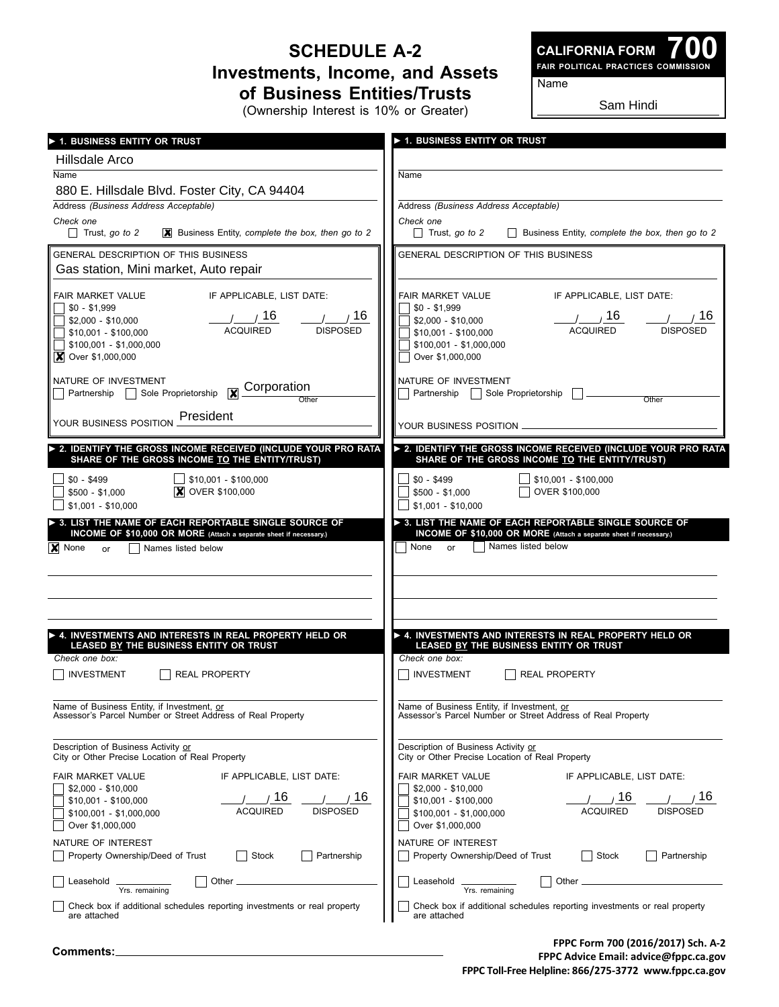## **Schedule A-2 Investments, Income, and Assets of Business Entities/Trusts**

(Ownership Interest is 10% or Greater)

**700 Fair Political Practices Commission CALIFORNIA FORM**

Name

Sam Hindi

| > 1. BUSINESS ENTITY OR TRUST                                                                           | ▶ 1. BUSINESS ENTITY OR TRUST                                                              |
|---------------------------------------------------------------------------------------------------------|--------------------------------------------------------------------------------------------|
| Hillsdale Arco                                                                                          |                                                                                            |
| Name                                                                                                    | Name                                                                                       |
| 880 E. Hillsdale Blvd. Foster City, CA 94404                                                            |                                                                                            |
| Address (Business Address Acceptable)                                                                   | Address (Business Address Acceptable)                                                      |
| Check one<br>$\mathbf{\times}$ Business Entity, complete the box, then go to 2<br>$\Box$ Trust, go to 2 | Check one<br>Business Entity, complete the box, then go to 2<br>$\Box$ Trust, go to 2      |
| GENERAL DESCRIPTION OF THIS BUSINESS                                                                    | GENERAL DESCRIPTION OF THIS BUSINESS                                                       |
| Gas station, Mini market, Auto repair                                                                   |                                                                                            |
|                                                                                                         |                                                                                            |
| IF APPLICABLE, LIST DATE:<br><b>FAIR MARKET VALUE</b><br>$$0 - $1,999$                                  | IF APPLICABLE, LIST DATE:<br>FAIR MARKET VALUE<br>$\frac{1}{20}$ - \$1,999                 |
| /16<br>$\frac{1}{2}$ / 16<br>$$2,000 - $10,000$                                                         | / / 16<br>16<br>$$2,000 - $10,000$                                                         |
| <b>ACQUIRED</b><br><b>DISPOSED</b><br>$$10,001 - $100,000$                                              | <b>ACQUIRED</b><br><b>DISPOSED</b><br>\$10,001 - \$100,000                                 |
| $$100,001 - $1,000,000$<br>$\vert$ Over \$1,000,000                                                     | \$100,001 - \$1,000,000<br>Over \$1,000,000                                                |
|                                                                                                         | NATURE OF INVESTMENT                                                                       |
| NATURE OF INVESTMENT<br>Corporation<br>Partnership   Sole Proprietorship                                | Partnership   Sole Proprietorship                                                          |
| Other                                                                                                   | Other                                                                                      |
| YOUR BUSINESS POSITION <b>President</b>                                                                 | YOUR BUSINESS POSITION _                                                                   |
| > 2. IDENTIFY THE GROSS INCOME RECEIVED (INCLUDE YOUR PRO RATA                                          | > 2. IDENTIFY THE GROSS INCOME RECEIVED (INCLUDE YOUR PRO RATA                             |
| SHARE OF THE GROSS INCOME TO THE ENTITY/TRUST)                                                          | SHARE OF THE GROSS INCOME TO THE ENTITY/TRUST)                                             |
| $\Box$ \$10,001 - \$100,000<br>$$0 - $499$                                                              | $$10,001 - $100,000$<br>$$0 - $499$                                                        |
| <b>X</b> OVER \$100,000<br>$$500 - $1,000$<br>$$1,001 - $10,000$                                        | OVER \$100,000<br>$$500 - $1,000$<br>$$1,001 - $10,000$                                    |
| > 3. LIST THE NAME OF EACH REPORTABLE SINGLE SOURCE OF                                                  | 3. LIST THE NAME OF EACH REPORTABLE SINGLE SOURCE OF                                       |
| INCOME OF \$10,000 OR MORE (Attach a separate sheet if necessary.)                                      | INCOME OF \$10,000 OR MORE (Attach a separate sheet if necessary.)                         |
| <b>X</b> None<br>Names listed below<br>or                                                               | Names listed below<br>None<br>or                                                           |
|                                                                                                         |                                                                                            |
|                                                                                                         |                                                                                            |
|                                                                                                         |                                                                                            |
| A. INVESTMENTS AND INTERESTS IN REAL PROPERTY HELD OR                                                   | A. INVESTMENTS AND INTERESTS IN REAL PROPERTY HELD OR                                      |
| LEASED BY THE BUSINESS ENTITY OR TRUST                                                                  | LEASED BY THE BUSINESS ENTITY OR TRUST                                                     |
| Check one box:                                                                                          | Check one box:                                                                             |
| <b>INVESTMENT</b><br><b>REAL PROPERTY</b>                                                               | <b>INVESTMENT</b><br><b>REAL PROPERTY</b>                                                  |
| Name of Business Entity, if Investment, or                                                              | Name of Business Entity, if Investment, or                                                 |
| Assessor's Parcel Number or Street Address of Real Property                                             | Assessor's Parcel Number or Street Address of Real Property                                |
| Description of Business Activity or                                                                     | Description of Business Activity or                                                        |
| City or Other Precise Location of Real Property                                                         | City or Other Precise Location of Real Property                                            |
| FAIR MARKET VALUE<br>IF APPLICABLE, LIST DATE:                                                          | <b>FAIR MARKET VALUE</b><br>IF APPLICABLE, LIST DATE:                                      |
| $$2,000 - $10,000$<br>16<br>16                                                                          | $$2,000 - $10,000$<br>16<br>16                                                             |
| \$10,001 - \$100,000<br><b>ACQUIRED</b><br><b>DISPOSED</b><br>$$100,001 - $1,000,000$                   | $$10,001 - $100,000$<br><b>ACQUIRED</b><br><b>DISPOSED</b><br>\$100,001 - \$1,000,000      |
| Over \$1,000,000                                                                                        | Over \$1,000,000                                                                           |
| NATURE OF INTEREST                                                                                      | NATURE OF INTEREST                                                                         |
| Property Ownership/Deed of Trust<br><b>Stock</b><br>Partnership                                         | Property Ownership/Deed of Trust<br>Stock<br>Partnership<br>$\mathcal{L}$                  |
| Other _<br>Leasehold                                                                                    | Other<br>Leasehold                                                                         |
| Yrs. remaining<br>Check box if additional schedules reporting investments or real property              | Yrs. remaining<br>Check box if additional schedules reporting investments or real property |
| are attached                                                                                            | are attached                                                                               |
|                                                                                                         |                                                                                            |

**FPPC Form 700 (2016/2017) Sch. A-2 FPPC Advice Email: advice@fppc.ca.gov FPPC Toll-Free Helpline: 866/275-3772 www.fppc.ca.gov**